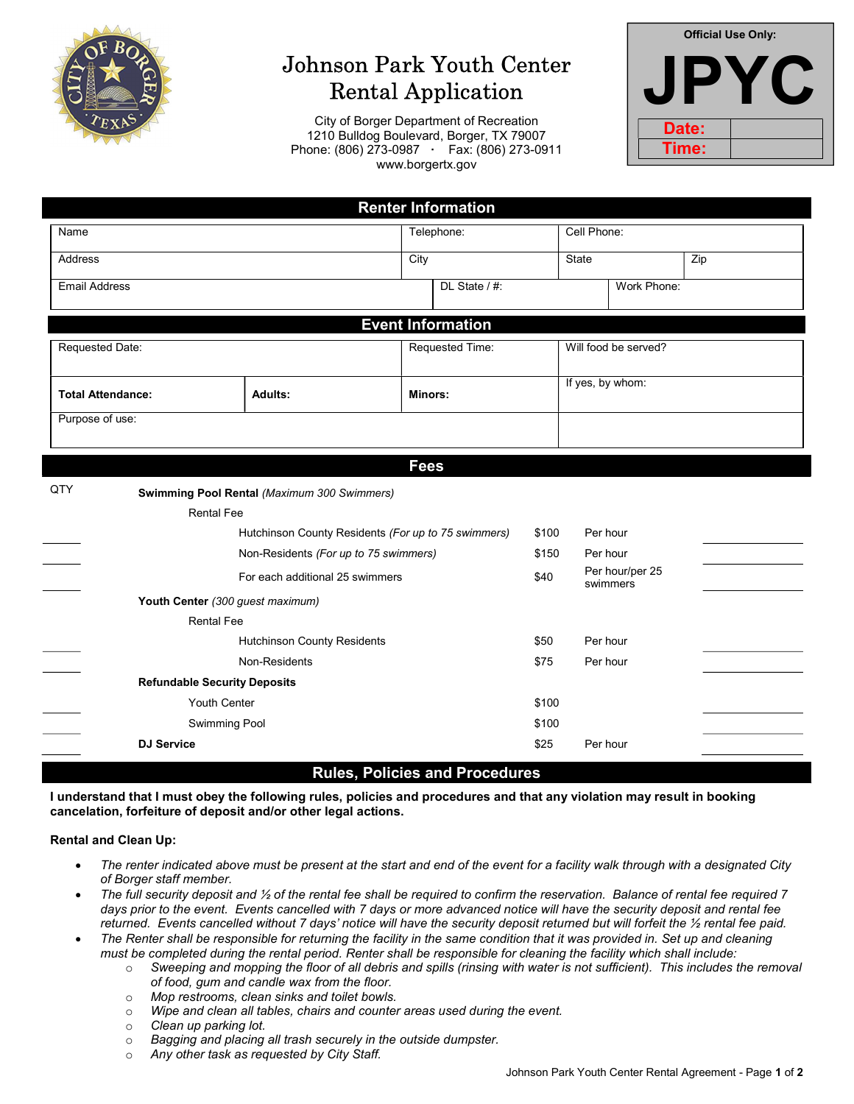

# Johnson Park Youth Center Rental Application

City of Borger Department of Recreation 1210 Bulldog Boulevard, Borger, TX 79007 Phone: (806) 273-0987 · Fax: (806) 273-0911 www.borgertx.gov

| <b>Official Use Only:</b> |  |  |  |  |  |  |
|---------------------------|--|--|--|--|--|--|
|                           |  |  |  |  |  |  |
| Date:                     |  |  |  |  |  |  |
| Time:                     |  |  |  |  |  |  |

| <b>Renter Information</b>                                                |                                       |               |                                       |                             |                  |                      |  |  |
|--------------------------------------------------------------------------|---------------------------------------|---------------|---------------------------------------|-----------------------------|------------------|----------------------|--|--|
| Name                                                                     |                                       | Telephone:    |                                       |                             | Cell Phone:      |                      |  |  |
| Address                                                                  |                                       | City          |                                       | <b>State</b>                |                  | Zip                  |  |  |
| <b>Email Address</b>                                                     |                                       | DL State / #: |                                       |                             | Work Phone:      |                      |  |  |
| <b>Event Information</b>                                                 |                                       |               |                                       |                             |                  |                      |  |  |
| Requested Date:                                                          |                                       |               | Requested Time:                       |                             |                  | Will food be served? |  |  |
| <b>Total Attendance:</b>                                                 | Adults:                               | Minors:       |                                       |                             | If yes, by whom: |                      |  |  |
| Purpose of use:                                                          |                                       |               |                                       |                             |                  |                      |  |  |
|                                                                          |                                       | <b>Fees</b>   |                                       |                             |                  |                      |  |  |
| QTY<br><b>Swimming Pool Rental (Maximum 300 Swimmers)</b>                |                                       |               |                                       |                             |                  |                      |  |  |
| <b>Rental Fee</b><br>Hutchinson County Residents (For up to 75 swimmers) |                                       |               | \$100                                 | Per hour                    |                  |                      |  |  |
|                                                                          | Non-Residents (For up to 75 swimmers) |               |                                       | \$150                       | Per hour         |                      |  |  |
| For each additional 25 swimmers                                          |                                       |               | \$40                                  | Per hour/per 25<br>swimmers |                  |                      |  |  |
| Youth Center (300 guest maximum)                                         |                                       |               |                                       |                             |                  |                      |  |  |
| <b>Rental Fee</b>                                                        |                                       |               |                                       |                             |                  |                      |  |  |
| <b>Hutchinson County Residents</b>                                       |                                       |               | \$50                                  | Per hour                    |                  |                      |  |  |
| Non-Residents                                                            |                                       | \$75          | Per hour                              |                             |                  |                      |  |  |
| <b>Refundable Security Deposits</b>                                      |                                       |               |                                       |                             |                  |                      |  |  |
| <b>Youth Center</b>                                                      |                                       |               | \$100                                 |                             |                  |                      |  |  |
|                                                                          | <b>Swimming Pool</b>                  |               |                                       | \$100                       |                  |                      |  |  |
| <b>DJ Service</b>                                                        |                                       |               |                                       | \$25                        | Per hour         |                      |  |  |
|                                                                          |                                       |               | <b>Rules, Policies and Procedures</b> |                             |                  |                      |  |  |

I understand that I must obey the following rules, policies and procedures and that any violation may result in booking cancelation, forfeiture of deposit and/or other legal actions.

# Rental and Clean Up:

- The renter indicated above must be present at the start and end of the event for a facility walk through with a designated City of Borger staff member.
- The full security deposit and 1/2 of the rental fee shall be required to confirm the reservation. Balance of rental fee required 7 days prior to the event. Events cancelled with 7 days or more advanced notice will have the security deposit and rental fee returned. Events cancelled without 7 days' notice will have the security deposit returned but will forfeit the 1/2 rental fee paid.
- The Renter shall be responsible for returning the facility in the same condition that it was provided in. Set up and cleaning must be completed during the rental period. Renter shall be responsible for cleaning the facility which shall include:
	- $\circ$  Sweeping and mopping the floor of all debris and spills (rinsing with water is not sufficient). This includes the removal of food, gum and candle wax from the floor.
		- o Mop restrooms, clean sinks and toilet bowls.
		- $\circ$  Wipe and clean all tables, chairs and counter areas used during the event.
		- o Clean up parking lot.
		- o Bagging and placing all trash securely in the outside dumpster.
		- o Any other task as requested by City Staff.